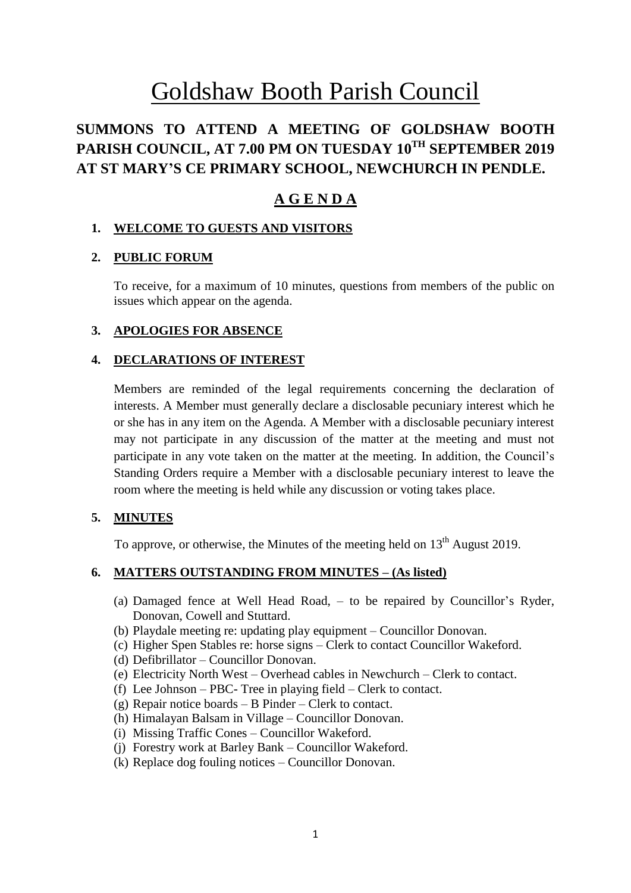# Goldshaw Booth Parish Council

# **SUMMONS TO ATTEND A MEETING OF GOLDSHAW BOOTH PARISH COUNCIL, AT 7.00 PM ON TUESDAY 10 TH SEPTEMBER 2019 AT ST MARY'S CE PRIMARY SCHOOL, NEWCHURCH IN PENDLE.**

# **A G E N D A**

# **1. WELCOME TO GUESTS AND VISITORS**

# **2. PUBLIC FORUM**

To receive, for a maximum of 10 minutes, questions from members of the public on issues which appear on the agenda.

#### **3. APOLOGIES FOR ABSENCE**

#### **4. DECLARATIONS OF INTEREST**

Members are reminded of the legal requirements concerning the declaration of interests. A Member must generally declare a disclosable pecuniary interest which he or she has in any item on the Agenda. A Member with a disclosable pecuniary interest may not participate in any discussion of the matter at the meeting and must not participate in any vote taken on the matter at the meeting. In addition, the Council's Standing Orders require a Member with a disclosable pecuniary interest to leave the room where the meeting is held while any discussion or voting takes place.

#### **5. MINUTES**

To approve, or otherwise, the Minutes of the meeting held on  $13<sup>th</sup>$  August 2019.

# **6. MATTERS OUTSTANDING FROM MINUTES – (As listed)**

- (a) Damaged fence at Well Head Road, to be repaired by Councillor's Ryder, Donovan, Cowell and Stuttard.
- (b) Playdale meeting re: updating play equipment Councillor Donovan.
- (c) Higher Spen Stables re: horse signs Clerk to contact Councillor Wakeford.
- (d) Defibrillator Councillor Donovan.
- (e) Electricity North West Overhead cables in Newchurch Clerk to contact.
- (f) Lee Johnson PBC- Tree in playing field Clerk to contact.
- (g) Repair notice boards  $-$  B Pinder  $-$  Clerk to contact.
- (h) Himalayan Balsam in Village Councillor Donovan.
- (i) Missing Traffic Cones Councillor Wakeford.
- (j) Forestry work at Barley Bank Councillor Wakeford.
- (k) Replace dog fouling notices Councillor Donovan.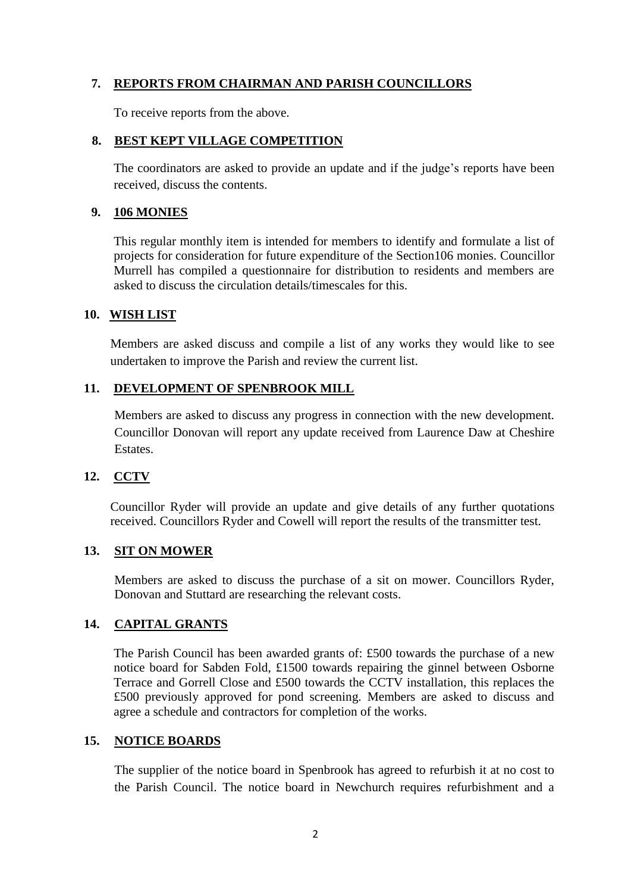# **7. REPORTS FROM CHAIRMAN AND PARISH COUNCILLORS**

To receive reports from the above.

#### **8. BEST KEPT VILLAGE COMPETITION**

The coordinators are asked to provide an update and if the judge's reports have been received, discuss the contents.

#### **9. 106 MONIES**

This regular monthly item is intended for members to identify and formulate a list of projects for consideration for future expenditure of the Section106 monies. Councillor Murrell has compiled a questionnaire for distribution to residents and members are asked to discuss the circulation details/timescales for this.

#### **10. WISH LIST**

Members are asked discuss and compile a list of any works they would like to see undertaken to improve the Parish and review the current list.

#### **11. DEVELOPMENT OF SPENBROOK MILL**

Members are asked to discuss any progress in connection with the new development. Councillor Donovan will report any update received from Laurence Daw at Cheshire Estates.

# **12. CCTV**

Councillor Ryder will provide an update and give details of any further quotations received. Councillors Ryder and Cowell will report the results of the transmitter test.

#### **13. SIT ON MOWER**

Members are asked to discuss the purchase of a sit on mower. Councillors Ryder, Donovan and Stuttard are researching the relevant costs.

# **14. CAPITAL GRANTS**

The Parish Council has been awarded grants of: £500 towards the purchase of a new notice board for Sabden Fold, £1500 towards repairing the ginnel between Osborne Terrace and Gorrell Close and £500 towards the CCTV installation, this replaces the £500 previously approved for pond screening. Members are asked to discuss and agree a schedule and contractors for completion of the works.

#### **15. NOTICE BOARDS**

The supplier of the notice board in Spenbrook has agreed to refurbish it at no cost to the Parish Council. The notice board in Newchurch requires refurbishment and a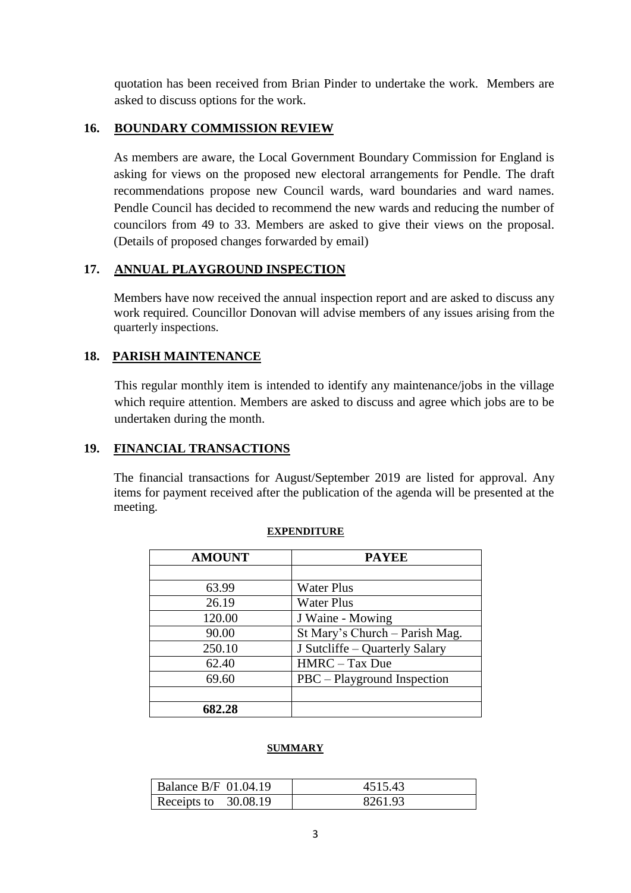quotation has been received from Brian Pinder to undertake the work. Members are asked to discuss options for the work.

### **16. BOUNDARY COMMISSION REVIEW**

As members are aware, the Local Government Boundary Commission for England is asking for views on the proposed new electoral arrangements for Pendle. The draft recommendations propose new Council wards, ward boundaries and ward names. Pendle Council has decided to recommend the new wards and reducing the number of councilors from 49 to 33. Members are asked to give their views on the proposal. (Details of proposed changes forwarded by email)

# **17. ANNUAL PLAYGROUND INSPECTION**

Members have now received the annual inspection report and are asked to discuss any work required. Councillor Donovan will advise members of any issues arising from the quarterly inspections.

# **18. PARISH MAINTENANCE**

This regular monthly item is intended to identify any maintenance/jobs in the village which require attention. Members are asked to discuss and agree which jobs are to be undertaken during the month.

# **19. FINANCIAL TRANSACTIONS**

The financial transactions for August/September 2019 are listed for approval. Any items for payment received after the publication of the agenda will be presented at the meeting.

| <b>AMOUNT</b> | <b>PAYEE</b>                   |
|---------------|--------------------------------|
|               |                                |
| 63.99         | <b>Water Plus</b>              |
| 26.19         | <b>Water Plus</b>              |
| 120.00        | J Waine - Mowing               |
| 90.00         | St Mary's Church - Parish Mag. |
| 250.10        | J Sutcliffe – Quarterly Salary |
| 62.40         | HMRC - Tax Due                 |
| 69.60         | PBC – Playground Inspection    |
|               |                                |
| 682.28        |                                |

#### **EXPENDITURE**

#### **SUMMARY**

| Balance B/F $\,01.04.19$ | 4515.43 |
|--------------------------|---------|
| Receipts to $30.08.19$   | 8261.93 |